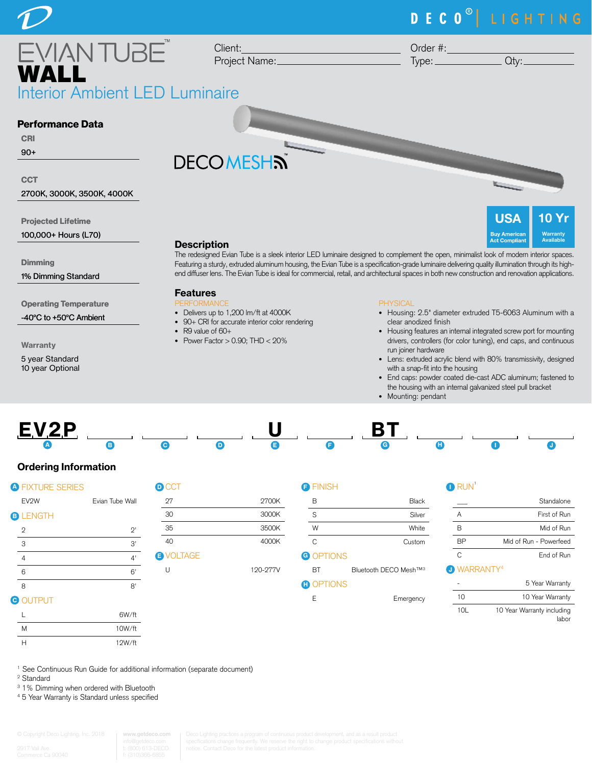# DECO<sup>®</sup> LIGHTING

nterior Ambient LED Luminaire WALL

Client: Project Name: Order #:

 $Type:$   $Qty:$ 

**USA** 

**Act Complian** 

 $\mathbf 0$ **Warranty** Available

### Performance Data

### CRI

90+

#### **CCT**

2700K, 3000K, 3500K, 4000K

Projected Lifetime

100,000+ Hours (L70)

**Dimming** 

1% Dimming Standard

Operating Temperature

-40°C to +50°C Ambient

Warranty

5 year Standard 10 year Optional

# **DECOMESHN**



The redesigned Evian Tube is a sleek interior LED luminaire designed to complement the open, minimalist look of modern interior spaces. Featuring a sturdy, extruded aluminum housing, the Evian Tube is a specification-grade luminaire delivering quality illumination through its highend diffuser lens. The Evian Tube is ideal for commercial, retail, and architectural spaces in both new construction and renovation applications.

### Features

- PERFORMANCE
- Delivers up to 1,200 lm/ft at 4000K • 90+ CRI for accurate interior color rendering
- R9 value of 60+
- Power Factor  $> 0.90$ ; THD  $< 20\%$

#### PHYSICAL

- Housing: 2.5" diameter extruded T5-6063 Aluminum with a clear anodized finish
- Housing features an internal integrated screw port for mounting drivers, controllers (for color tuning), end caps, and continuous run joiner hardware
- Lens: extruded acrylic blend with 80% transmissivity, designed with a snap-fit into the housing
- End caps: powder coated die-cast ADC aluminum; fastened to the housing with an internal galvanized steel pull bracket
- Mounting: pendant



### Ordering Information

| <b>A FIXTURE SERIES</b> |                 | <b>D</b> CCT     |
|-------------------------|-----------------|------------------|
| EV <sub>2W</sub>        | Evian Tube Wall | 27               |
| <b>B</b> LENGTH         |                 | 30               |
| 2                       | $2^,$           | 35               |
| 3                       | 3'              | 40               |
| $\overline{4}$          | 4'              | <b>B</b> VOLTAGE |
| 6                       | 6'              | U                |
| 8                       | 8'              |                  |
|                         |                 |                  |

# **2700K**

3000K 35 3500K 4000K

U 120-277V

| R         | Black  |
|-----------|--------|
| S         | Silver |
| W         | White  |
| C         | Custom |
| G OPTIONS |        |

BT Bluetooth DECO Mesh™3

| г |  |  |  |
|---|--|--|--|
| н |  |  |  |
| ٠ |  |  |  |

**FINISH** 

| _______ |  |
|---------|--|

|                                | Standalone             |
|--------------------------------|------------------------|
| A                              | First of Run           |
| R                              | Mid of Run             |
| RР                             | Mid of Run - Powerfeed |
| C                              | End of Run             |
| <b>O</b> WARRANTY <sup>4</sup> |                        |
|                                | 5 Year Warranty        |

|     | 5 Year Warranty                     |
|-----|-------------------------------------|
| 10  | 10 Year Warranty                    |
| 10I | 10 Year Warranty including<br>labor |

<sup>1</sup> See Continuous Run Guide for additional information (separate document)

6W/ft

2 Standard

**G** OUTPUT

<sup>3</sup> 1% Dimming when ordered with Bluetooth

M 10W/ft H 12W/ft

4 5 Year Warranty is Standard unless specified

| © Copyright Deco Lighting, Inc. 2018  | www.g                |
|---------------------------------------|----------------------|
|                                       | info@ge              |
| - 2917 Vail Ave.<br><b>CONTRACTOR</b> | t: (800)<br>C (04.0) |

**www.getdeco.com**